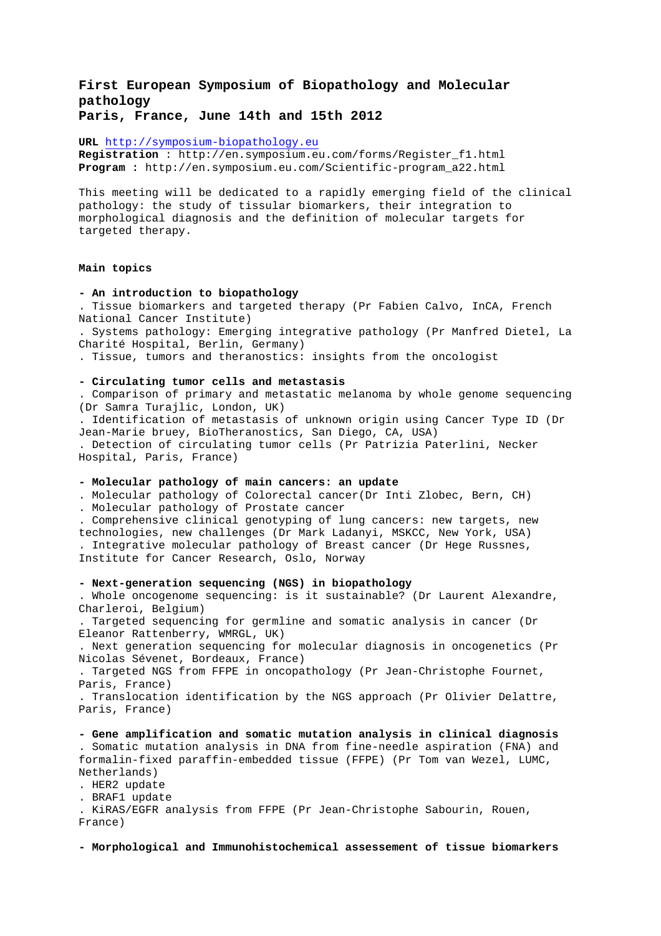# **First European Symposium of Biopathology and Molecular pathology**

**Paris, France, June 14th and 15th 2012** 

**URL** http://symposium-biopathology.eu

**Registration** : http://en.symposium.eu.com/forms/Register\_f1.html **Program :** http://en.symposium.eu.com/Scientific-program\_a22.html

This meeting will be dedicated to a rapidly emerging field of the clinical pathology: the study of tissular biomarkers, their integration to morphological diagnosis and the definition of molecular targets for targeted therapy.

# **Main topics**

#### **- An introduction to biopathology**

. Tissue biomarkers and targeted therapy (Pr Fabien Calvo, InCA, French National Cancer Institute)

. Systems pathology: Emerging integrative pathology (Pr Manfred Dietel, La Charité Hospital, Berlin, Germany)

. Tissue, tumors and theranostics: insights from the oncologist

## **- Circulating tumor cells and metastasis**

. Comparison of primary and metastatic melanoma by whole genome sequencing (Dr Samra Turajlic, London, UK)

. Identification of metastasis of unknown origin using Cancer Type ID (Dr Jean-Marie bruey, BioTheranostics, San Diego, CA, USA)

. Detection of circulating tumor cells (Pr Patrizia Paterlini, Necker Hospital, Paris, France)

#### **- Molecular pathology of main cancers: an update**

. Molecular pathology of Colorectal cancer(Dr Inti Zlobec, Bern, CH)

. Molecular pathology of Prostate cancer

. Comprehensive clinical genotyping of lung cancers: new targets, new technologies, new challenges (Dr Mark Ladanyi, MSKCC, New York, USA) . Integrative molecular pathology of Breast cancer (Dr Hege Russnes,

Institute for Cancer Research, Oslo, Norway

## **- Next-generation sequencing (NGS) in biopathology**

. Whole oncogenome sequencing: is it sustainable? (Dr Laurent Alexandre, Charleroi, Belgium)

. Targeted sequencing for germline and somatic analysis in cancer (Dr Eleanor Rattenberry, WMRGL, UK)

. Next generation sequencing for molecular diagnosis in oncogenetics (Pr Nicolas Sévenet, Bordeaux, France)

. Targeted NGS from FFPE in oncopathology (Pr Jean-Christophe Fournet, Paris, France)

. Translocation identification by the NGS approach (Pr Olivier Delattre, Paris, France)

## **- Gene amplification and somatic mutation analysis in clinical diagnosis**

. Somatic mutation analysis in DNA from fine-needle aspiration (FNA) and formalin-fixed paraffin-embedded tissue (FFPE) (Pr Tom van Wezel, LUMC, Netherlands)

. HER2 update

. BRAF1 update

. KiRAS/EGFR analysis from FFPE (Pr Jean-Christophe Sabourin, Rouen, France)

**- Morphological and Immunohistochemical assessement of tissue biomarkers**